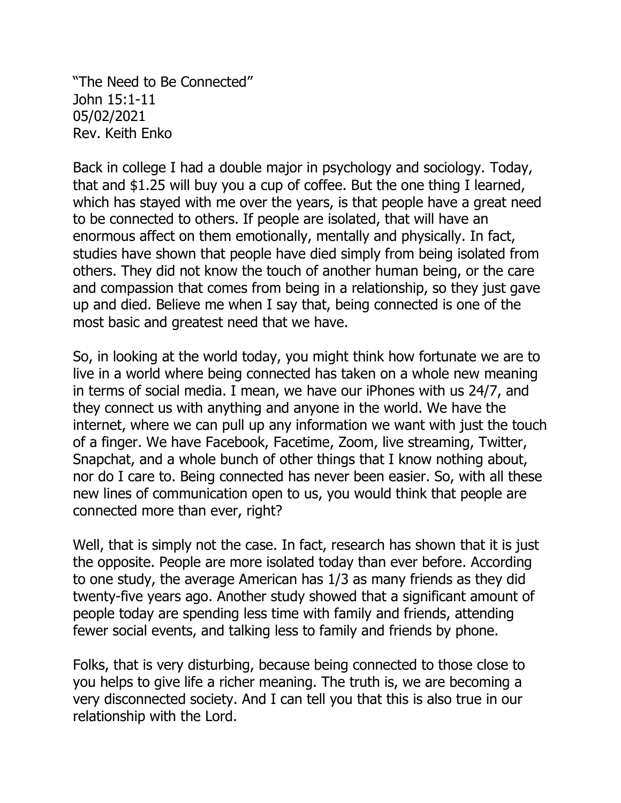"The Need to Be Connected" John 15:1-11 05/02/2021 Rev. Keith Enko

Back in college I had a double major in psychology and sociology. Today, that and \$1.25 will buy you a cup of coffee. But the one thing I learned, which has stayed with me over the years, is that people have a great need to be connected to others. If people are isolated, that will have an enormous affect on them emotionally, mentally and physically. In fact, studies have shown that people have died simply from being isolated from others. They did not know the touch of another human being, or the care and compassion that comes from being in a relationship, so they just gave up and died. Believe me when I say that, being connected is one of the most basic and greatest need that we have.

So, in looking at the world today, you might think how fortunate we are to live in a world where being connected has taken on a whole new meaning in terms of social media. I mean, we have our iPhones with us 24/7, and they connect us with anything and anyone in the world. We have the internet, where we can pull up any information we want with just the touch of a finger. We have Facebook, Facetime, Zoom, live streaming, Twitter, Snapchat, and a whole bunch of other things that I know nothing about, nor do I care to. Being connected has never been easier. So, with all these new lines of communication open to us, you would think that people are connected more than ever, right?

Well, that is simply not the case. In fact, research has shown that it is just the opposite. People are more isolated today than ever before. According to one study, the average American has 1/3 as many friends as they did twenty-five years ago. Another study showed that a significant amount of people today are spending less time with family and friends, attending fewer social events, and talking less to family and friends by phone.

Folks, that is very disturbing, because being connected to those close to you helps to give life a richer meaning. The truth is, we are becoming a very disconnected society. And I can tell you that this is also true in our relationship with the Lord.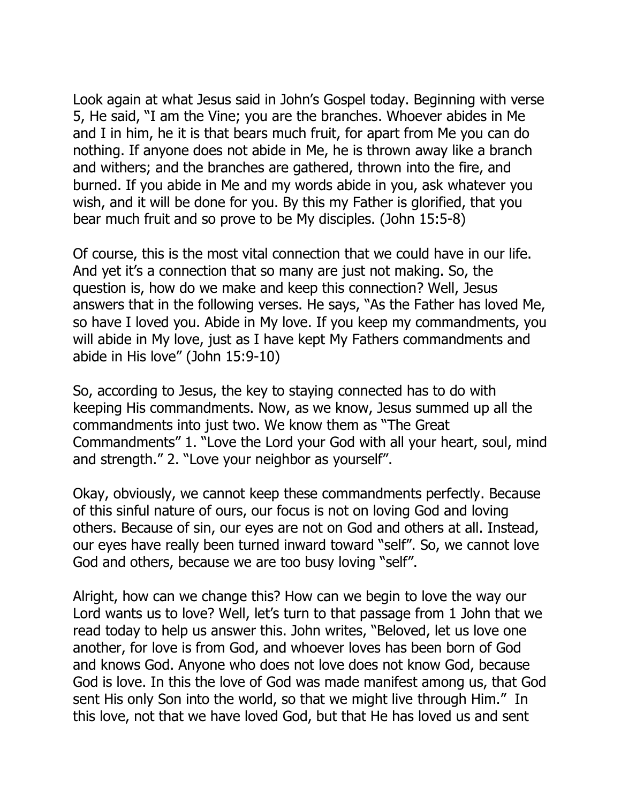Look again at what Jesus said in John's Gospel today. Beginning with verse 5, He said, "I am the Vine; you are the branches. Whoever abides in Me and I in him, he it is that bears much fruit, for apart from Me you can do nothing. If anyone does not abide in Me, he is thrown away like a branch and withers; and the branches are gathered, thrown into the fire, and burned. If you abide in Me and my words abide in you, ask whatever you wish, and it will be done for you. By this my Father is glorified, that you bear much fruit and so prove to be My disciples. (John 15:5-8)

Of course, this is the most vital connection that we could have in our life. And yet it's a connection that so many are just not making. So, the question is, how do we make and keep this connection? Well, Jesus answers that in the following verses. He says, "As the Father has loved Me, so have I loved you. Abide in My love. If you keep my commandments, you will abide in My love, just as I have kept My Fathers commandments and abide in His love" (John 15:9-10)

So, according to Jesus, the key to staying connected has to do with keeping His commandments. Now, as we know, Jesus summed up all the commandments into just two. We know them as "The Great Commandments" 1. "Love the Lord your God with all your heart, soul, mind and strength." 2. "Love your neighbor as yourself".

Okay, obviously, we cannot keep these commandments perfectly. Because of this sinful nature of ours, our focus is not on loving God and loving others. Because of sin, our eyes are not on God and others at all. Instead, our eyes have really been turned inward toward "self". So, we cannot love God and others, because we are too busy loving "self".

Alright, how can we change this? How can we begin to love the way our Lord wants us to love? Well, let's turn to that passage from 1 John that we read today to help us answer this. John writes, "Beloved, let us love one another, for love is from God, and whoever loves has been born of God and knows God. Anyone who does not love does not know God, because God is love. In this the love of God was made manifest among us, that God sent His only Son into the world, so that we might live through Him." In this love, not that we have loved God, but that He has loved us and sent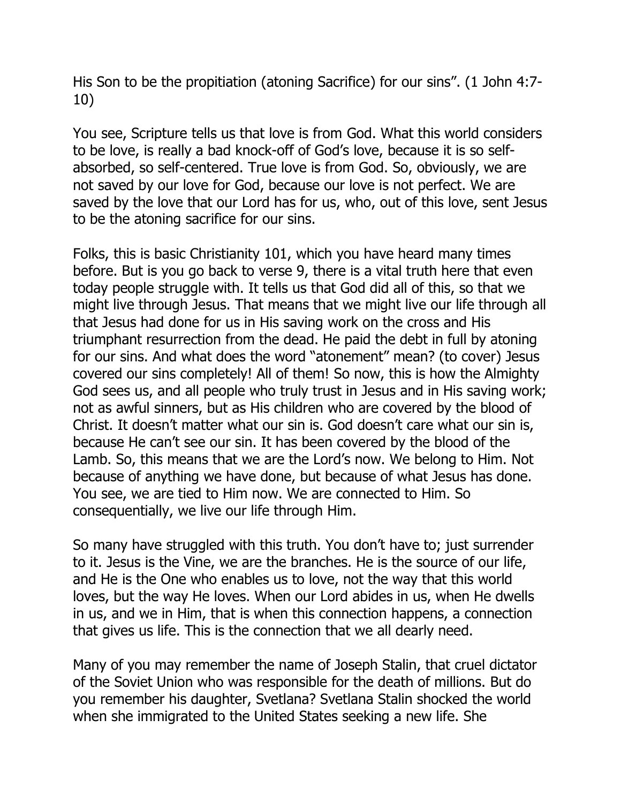His Son to be the propitiation (atoning Sacrifice) for our sins". (1 John 4:7- 10)

You see, Scripture tells us that love is from God. What this world considers to be love, is really a bad knock-off of God's love, because it is so selfabsorbed, so self-centered. True love is from God. So, obviously, we are not saved by our love for God, because our love is not perfect. We are saved by the love that our Lord has for us, who, out of this love, sent Jesus to be the atoning sacrifice for our sins.

Folks, this is basic Christianity 101, which you have heard many times before. But is you go back to verse 9, there is a vital truth here that even today people struggle with. It tells us that God did all of this, so that we might live through Jesus. That means that we might live our life through all that Jesus had done for us in His saving work on the cross and His triumphant resurrection from the dead. He paid the debt in full by atoning for our sins. And what does the word "atonement" mean? (to cover) Jesus covered our sins completely! All of them! So now, this is how the Almighty God sees us, and all people who truly trust in Jesus and in His saving work; not as awful sinners, but as His children who are covered by the blood of Christ. It doesn't matter what our sin is. God doesn't care what our sin is, because He can't see our sin. It has been covered by the blood of the Lamb. So, this means that we are the Lord's now. We belong to Him. Not because of anything we have done, but because of what Jesus has done. You see, we are tied to Him now. We are connected to Him. So consequentially, we live our life through Him.

So many have struggled with this truth. You don't have to; just surrender to it. Jesus is the Vine, we are the branches. He is the source of our life, and He is the One who enables us to love, not the way that this world loves, but the way He loves. When our Lord abides in us, when He dwells in us, and we in Him, that is when this connection happens, a connection that gives us life. This is the connection that we all dearly need.

Many of you may remember the name of Joseph Stalin, that cruel dictator of the Soviet Union who was responsible for the death of millions. But do you remember his daughter, Svetlana? Svetlana Stalin shocked the world when she immigrated to the United States seeking a new life. She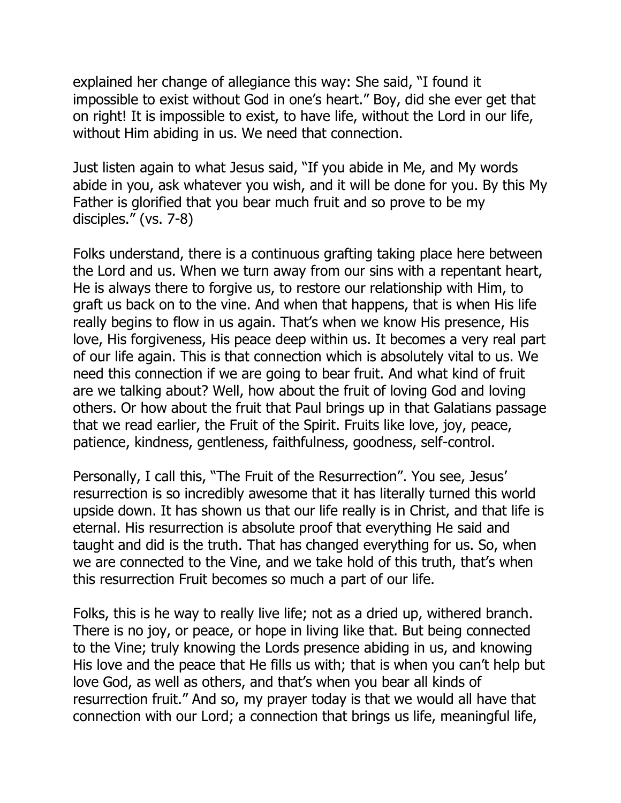explained her change of allegiance this way: She said, "I found it impossible to exist without God in one's heart." Boy, did she ever get that on right! It is impossible to exist, to have life, without the Lord in our life, without Him abiding in us. We need that connection.

Just listen again to what Jesus said, "If you abide in Me, and My words abide in you, ask whatever you wish, and it will be done for you. By this My Father is glorified that you bear much fruit and so prove to be my disciples." (vs. 7-8)

Folks understand, there is a continuous grafting taking place here between the Lord and us. When we turn away from our sins with a repentant heart, He is always there to forgive us, to restore our relationship with Him, to graft us back on to the vine. And when that happens, that is when His life really begins to flow in us again. That's when we know His presence, His love, His forgiveness, His peace deep within us. It becomes a very real part of our life again. This is that connection which is absolutely vital to us. We need this connection if we are going to bear fruit. And what kind of fruit are we talking about? Well, how about the fruit of loving God and loving others. Or how about the fruit that Paul brings up in that Galatians passage that we read earlier, the Fruit of the Spirit. Fruits like love, joy, peace, patience, kindness, gentleness, faithfulness, goodness, self-control.

Personally, I call this, "The Fruit of the Resurrection". You see, Jesus' resurrection is so incredibly awesome that it has literally turned this world upside down. It has shown us that our life really is in Christ, and that life is eternal. His resurrection is absolute proof that everything He said and taught and did is the truth. That has changed everything for us. So, when we are connected to the Vine, and we take hold of this truth, that's when this resurrection Fruit becomes so much a part of our life.

Folks, this is he way to really live life; not as a dried up, withered branch. There is no joy, or peace, or hope in living like that. But being connected to the Vine; truly knowing the Lords presence abiding in us, and knowing His love and the peace that He fills us with; that is when you can't help but love God, as well as others, and that's when you bear all kinds of resurrection fruit." And so, my prayer today is that we would all have that connection with our Lord; a connection that brings us life, meaningful life,